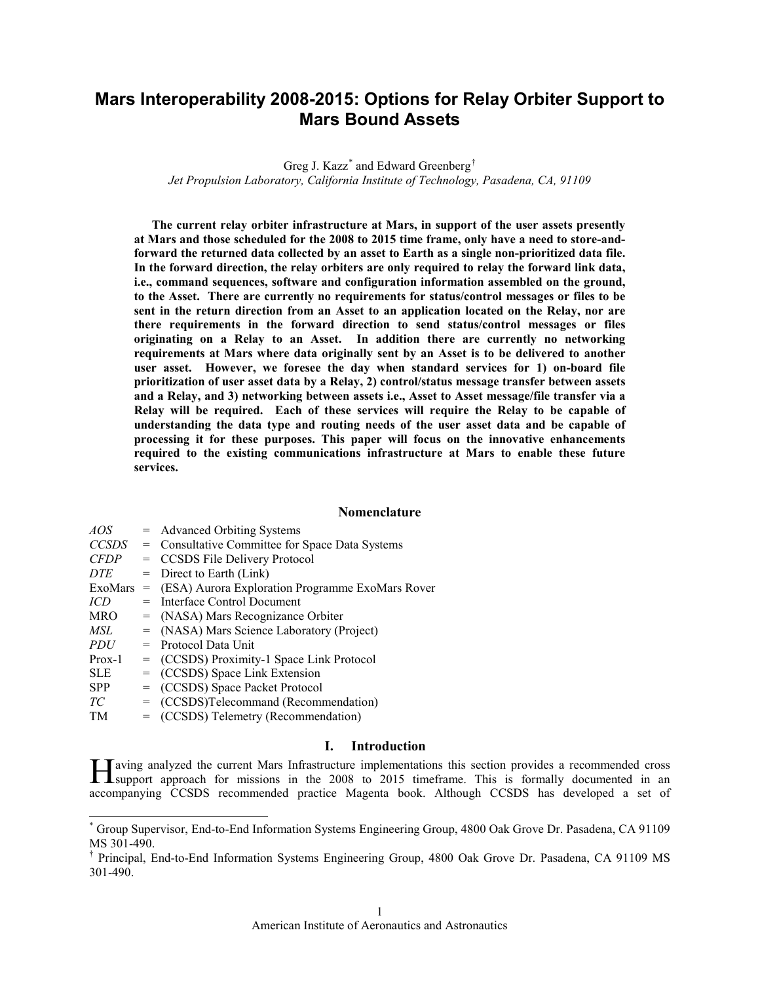# **Mars Interoperability 2008-2015: Options for Relay Orbiter Support to Mars Bound Assets**

Greg J. Kazz[\\*](#page-0-0) and Edward Greenberg[†](#page-0-1) *Jet Propulsion Laboratory, California Institute of Technology, Pasadena, CA, 91109*

**The current relay orbiter infrastructure at Mars, in support of the user assets presently at Mars and those scheduled for the 2008 to 2015 time frame, only have a need to store-andforward the returned data collected by an asset to Earth as a single non-prioritized data file. In the forward direction, the relay orbiters are only required to relay the forward link data, i.e., command sequences, software and configuration information assembled on the ground, to the Asset. There are currently no requirements for status/control messages or files to be sent in the return direction from an Asset to an application located on the Relay, nor are there requirements in the forward direction to send status/control messages or files originating on a Relay to an Asset. In addition there are currently no networking requirements at Mars where data originally sent by an Asset is to be delivered to another user asset. However, we foresee the day when standard services for 1) on-board file prioritization of user asset data by a Relay, 2) control/status message transfer between assets and a Relay, and 3) networking between assets i.e., Asset to Asset message/file transfer via a Relay will be required. Each of these services will require the Relay to be capable of understanding the data type and routing needs of the user asset data and be capable of processing it for these purposes. This paper will focus on the innovative enhancements required to the existing communications infrastructure at Mars to enable these future services.** 

#### **Nomenclature**

| AOS         |     | = Advanced Orbiting Systems                             |
|-------------|-----|---------------------------------------------------------|
|             |     | $CCSDS =$ Consultative Committee for Space Data Systems |
| <b>CFDP</b> |     | = CCSDS File Delivery Protocol                          |
| DTE -       |     | $=$ Direct to Earth (Link)                              |
| ExoMars     | $=$ | (ESA) Aurora Exploration Programme ExoMars Rover        |
| ICD         | $=$ | Interface Control Document                              |
| <b>MRO</b>  |     | = (NASA) Mars Recognizance Orbiter                      |
| MSL         |     | = (NASA) Mars Science Laboratory (Project)              |
| <i>PDU</i>  |     | $=$ Protocol Data Unit                                  |
| $Prox-1$    |     | = (CCSDS) Proximity-1 Space Link Protocol               |
| <b>SLE</b>  |     | = (CCSDS) Space Link Extension                          |
| <b>SPP</b>  |     | = (CCSDS) Space Packet Protocol                         |
| TC.         |     | = (CCSDS)Telecommand (Recommendation)                   |
| TM          |     | (CCSDS) Telemetry (Recommendation)                      |
|             |     |                                                         |

 $\overline{a}$ 

# **I. Introduction**

Taving analyzed the current Mars Infrastructure implementations this section provides a recommended cross Having analyzed the current Mars Infrastructure implementations this section provides a recommended cross<br>support approach for missions in the 2008 to 2015 timeframe. This is formally documented in an accompanying CCSDS recommended practice Magenta book. Although CCSDS has developed a set of

<span id="page-0-0"></span><sup>\*</sup> Group Supervisor, End-to-End Information Systems Engineering Group, 4800 Oak Grove Dr. Pasadena, CA 91109 MS 301-490. † Principal, End-to-End Information Systems Engineering Group, 4800 Oak Grove Dr. Pasadena, CA 91109 MS

<span id="page-0-1"></span><sup>301-490.</sup>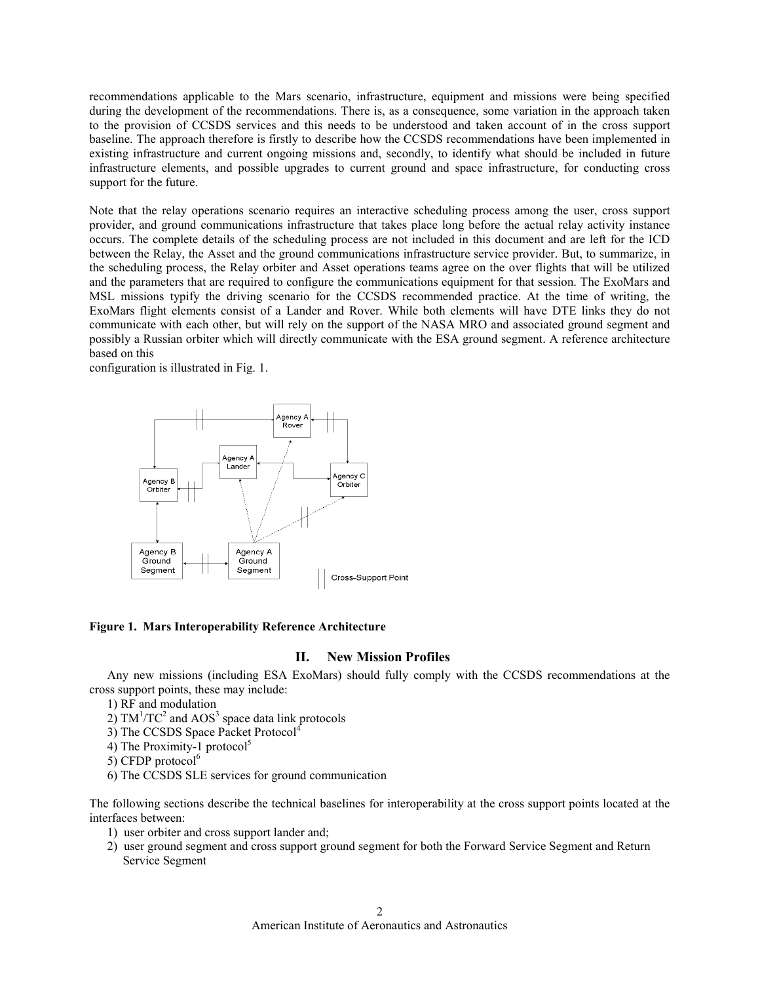recommendations applicable to the Mars scenario, infrastructure, equipment and missions were being specified during the development of the recommendations. There is, as a consequence, some variation in the approach taken to the provision of CCSDS services and this needs to be understood and taken account of in the cross support baseline. The approach therefore is firstly to describe how the CCSDS recommendations have been implemented in existing infrastructure and current ongoing missions and, secondly, to identify what should be included in future infrastructure elements, and possible upgrades to current ground and space infrastructure, for conducting cross support for the future.

Note that the relay operations scenario requires an interactive scheduling process among the user, cross support provider, and ground communications infrastructure that takes place long before the actual relay activity instance occurs. The complete details of the scheduling process are not included in this document and are left for the ICD between the Relay, the Asset and the ground communications infrastructure service provider. But, to summarize, in the scheduling process, the Relay orbiter and Asset operations teams agree on the over flights that will be utilized and the parameters that are required to configure the communications equipment for that session. The ExoMars and MSL missions typify the driving scenario for the CCSDS recommended practice. At the time of writing, the ExoMars flight elements consist of a Lander and Rover. While both elements will have DTE links they do not communicate with each other, but will rely on the support of the NASA MRO and associated ground segment and possibly a Russian orbiter which will directly communicate with the ESA ground segment. A reference architecture based on this

configuration is illustrated in Fig. 1.



#### **Figure 1. Mars Interoperability Reference Architecture**

#### **II. New Mission Profiles**

Any new missions (including ESA ExoMars) should fully comply with the CCSDS recommendations at the cross support points, these may include:

- 1) RF and modulation
- 2)  $TM^1/TC^2$  and  $AOS^3$  space data link protocols
- 3) The CCSDS Space Packet Protocol4
- 4) The Proximity-1 protocol<sup>3</sup>
- 5) CFDP protocol<sup>6</sup>
- 6) The CCSDS SLE services for ground communication

The following sections describe the technical baselines for interoperability at the cross support points located at the interfaces between:

- 1) user orbiter and cross support lander and;
- 2) user ground segment and cross support ground segment for both the Forward Service Segment and Return Service Segment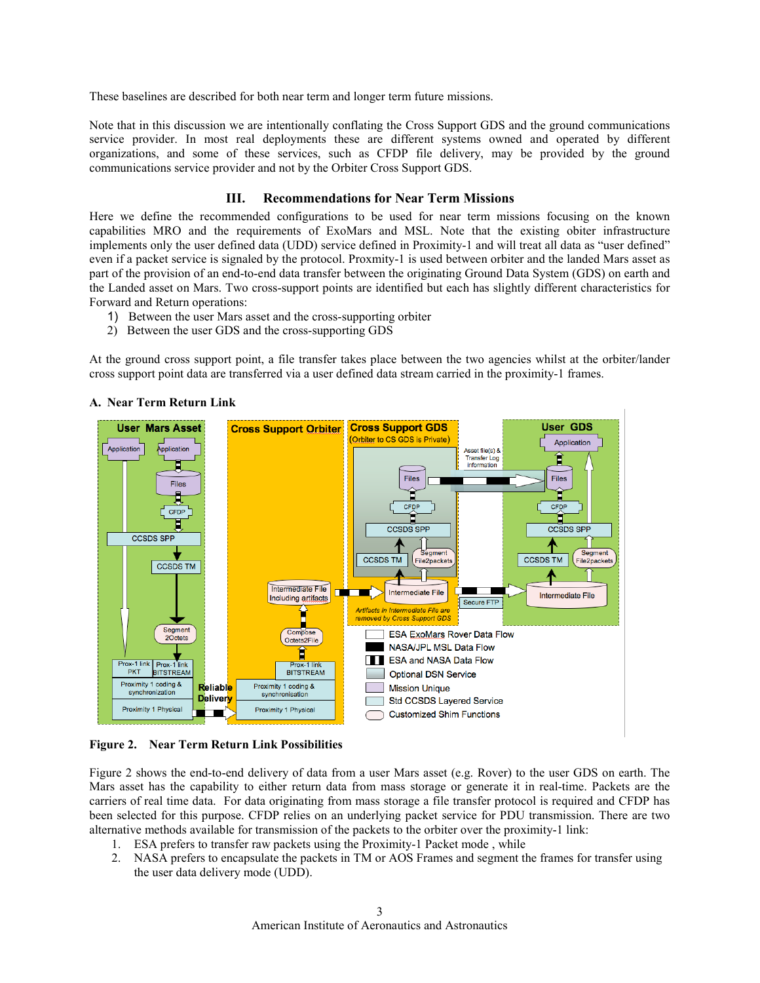These baselines are described for both near term and longer term future missions.

Note that in this discussion we are intentionally conflating the Cross Support GDS and the ground communications service provider. In most real deployments these are different systems owned and operated by different organizations, and some of these services, such as CFDP file delivery, may be provided by the ground communications service provider and not by the Orbiter Cross Support GDS.

# **III. Recommendations for Near Term Missions**

Here we define the recommended configurations to be used for near term missions focusing on the known capabilities MRO and the requirements of ExoMars and MSL. Note that the existing obiter infrastructure implements only the user defined data (UDD) service defined in Proximity-1 and will treat all data as "user defined" even if a packet service is signaled by the protocol. Proxmity-1 is used between orbiter and the landed Mars asset as part of the provision of an end-to-end data transfer between the originating Ground Data System (GDS) on earth and the Landed asset on Mars. Two cross-support points are identified but each has slightly different characteristics for Forward and Return operations:

- 1) Between the user Mars asset and the cross-supporting orbiter
- 2) Between the user GDS and the cross-supporting GDS

At the ground cross support point, a file transfer takes place between the two agencies whilst at the orbiter/lander cross support point data are transferred via a user defined data stream carried in the proximity-1 frames.



# **A. Near Term Return Link**

**Figure 2. Near Term Return Link Possibilities**

Figure 2 shows the end-to-end delivery of data from a user Mars asset (e.g. Rover) to the user GDS on earth. The Mars asset has the capability to either return data from mass storage or generate it in real-time. Packets are the carriers of real time data. For data originating from mass storage a file transfer protocol is required and CFDP has been selected for this purpose. CFDP relies on an underlying packet service for PDU transmission. There are two alternative methods available for transmission of the packets to the orbiter over the proximity-1 link:

- 1. ESA prefers to transfer raw packets using the Proximity-1 Packet mode , while
- 2. NASA prefers to encapsulate the packets in TM or AOS Frames and segment the frames for transfer using the user data delivery mode (UDD).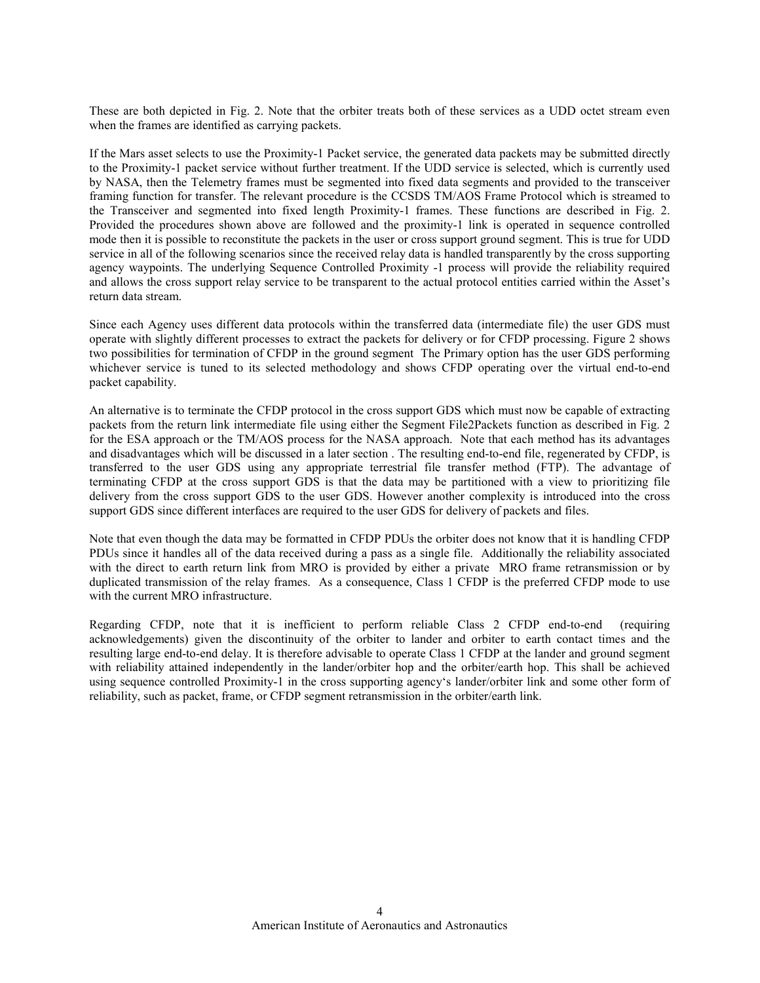These are both depicted in Fig. 2. Note that the orbiter treats both of these services as a UDD octet stream even when the frames are identified as carrying packets.

If the Mars asset selects to use the Proximity-1 Packet service, the generated data packets may be submitted directly to the Proximity-1 packet service without further treatment. If the UDD service is selected, which is currently used by NASA, then the Telemetry frames must be segmented into fixed data segments and provided to the transceiver framing function for transfer. The relevant procedure is the CCSDS TM/AOS Frame Protocol which is streamed to the Transceiver and segmented into fixed length Proximity-1 frames. These functions are described in Fig. 2. Provided the procedures shown above are followed and the proximity-1 link is operated in sequence controlled mode then it is possible to reconstitute the packets in the user or cross support ground segment. This is true for UDD service in all of the following scenarios since the received relay data is handled transparently by the cross supporting agency waypoints. The underlying Sequence Controlled Proximity -1 process will provide the reliability required and allows the cross support relay service to be transparent to the actual protocol entities carried within the Asset's return data stream.

Since each Agency uses different data protocols within the transferred data (intermediate file) the user GDS must operate with slightly different processes to extract the packets for delivery or for CFDP processing. Figure 2 shows two possibilities for termination of CFDP in the ground segment The Primary option has the user GDS performing whichever service is tuned to its selected methodology and shows CFDP operating over the virtual end-to-end packet capability.

An alternative is to terminate the CFDP protocol in the cross support GDS which must now be capable of extracting packets from the return link intermediate file using either the Segment File2Packets function as described in Fig. 2 for the ESA approach or the TM/AOS process for the NASA approach. Note that each method has its advantages and disadvantages which will be discussed in a later section . The resulting end-to-end file, regenerated by CFDP, is transferred to the user GDS using any appropriate terrestrial file transfer method (FTP). The advantage of terminating CFDP at the cross support GDS is that the data may be partitioned with a view to prioritizing file delivery from the cross support GDS to the user GDS. However another complexity is introduced into the cross support GDS since different interfaces are required to the user GDS for delivery of packets and files.

Note that even though the data may be formatted in CFDP PDUs the orbiter does not know that it is handling CFDP PDUs since it handles all of the data received during a pass as a single file. Additionally the reliability associated with the direct to earth return link from MRO is provided by either a private MRO frame retransmission or by duplicated transmission of the relay frames. As a consequence, Class 1 CFDP is the preferred CFDP mode to use with the current MRO infrastructure.

Regarding CFDP, note that it is inefficient to perform reliable Class 2 CFDP end-to-end (requiring acknowledgements) given the discontinuity of the orbiter to lander and orbiter to earth contact times and the resulting large end-to-end delay. It is therefore advisable to operate Class 1 CFDP at the lander and ground segment with reliability attained independently in the lander/orbiter hop and the orbiter/earth hop. This shall be achieved using sequence controlled Proximity-1 in the cross supporting agency's lander/orbiter link and some other form of reliability, such as packet, frame, or CFDP segment retransmission in the orbiter/earth link.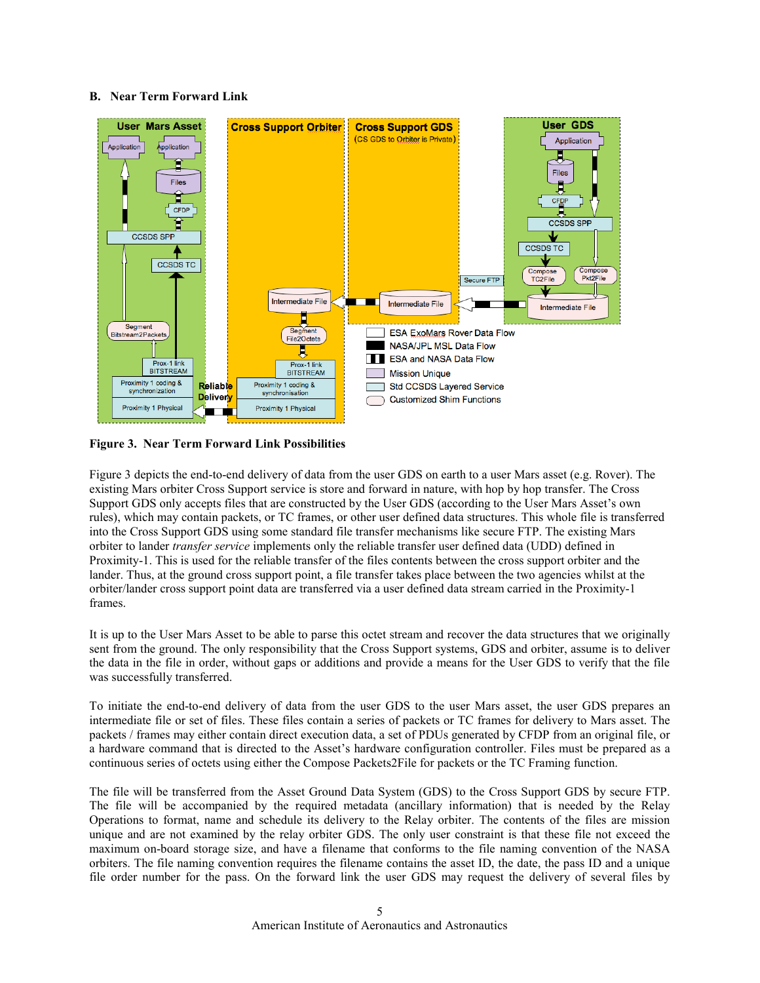## **B. Near Term Forward Link**



**Figure 3. Near Term Forward Link Possibilities**

Figure 3 depicts the end-to-end delivery of data from the user GDS on earth to a user Mars asset (e.g. Rover). The existing Mars orbiter Cross Support service is store and forward in nature, with hop by hop transfer. The Cross Support GDS only accepts files that are constructed by the User GDS (according to the User Mars Asset's own rules), which may contain packets, or TC frames, or other user defined data structures. This whole file is transferred into the Cross Support GDS using some standard file transfer mechanisms like secure FTP. The existing Mars orbiter to lander *transfer service* implements only the reliable transfer user defined data (UDD) defined in Proximity-1. This is used for the reliable transfer of the files contents between the cross support orbiter and the lander. Thus, at the ground cross support point, a file transfer takes place between the two agencies whilst at the orbiter/lander cross support point data are transferred via a user defined data stream carried in the Proximity-1 frames.

It is up to the User Mars Asset to be able to parse this octet stream and recover the data structures that we originally sent from the ground. The only responsibility that the Cross Support systems, GDS and orbiter, assume is to deliver the data in the file in order, without gaps or additions and provide a means for the User GDS to verify that the file was successfully transferred.

To initiate the end-to-end delivery of data from the user GDS to the user Mars asset, the user GDS prepares an intermediate file or set of files. These files contain a series of packets or TC frames for delivery to Mars asset. The packets / frames may either contain direct execution data, a set of PDUs generated by CFDP from an original file, or a hardware command that is directed to the Asset's hardware configuration controller. Files must be prepared as a continuous series of octets using either the Compose Packets2File for packets or the TC Framing function.

The file will be transferred from the Asset Ground Data System (GDS) to the Cross Support GDS by secure FTP. The file will be accompanied by the required metadata (ancillary information) that is needed by the Relay Operations to format, name and schedule its delivery to the Relay orbiter. The contents of the files are mission unique and are not examined by the relay orbiter GDS. The only user constraint is that these file not exceed the maximum on-board storage size, and have a filename that conforms to the file naming convention of the NASA orbiters. The file naming convention requires the filename contains the asset ID, the date, the pass ID and a unique file order number for the pass. On the forward link the user GDS may request the delivery of several files by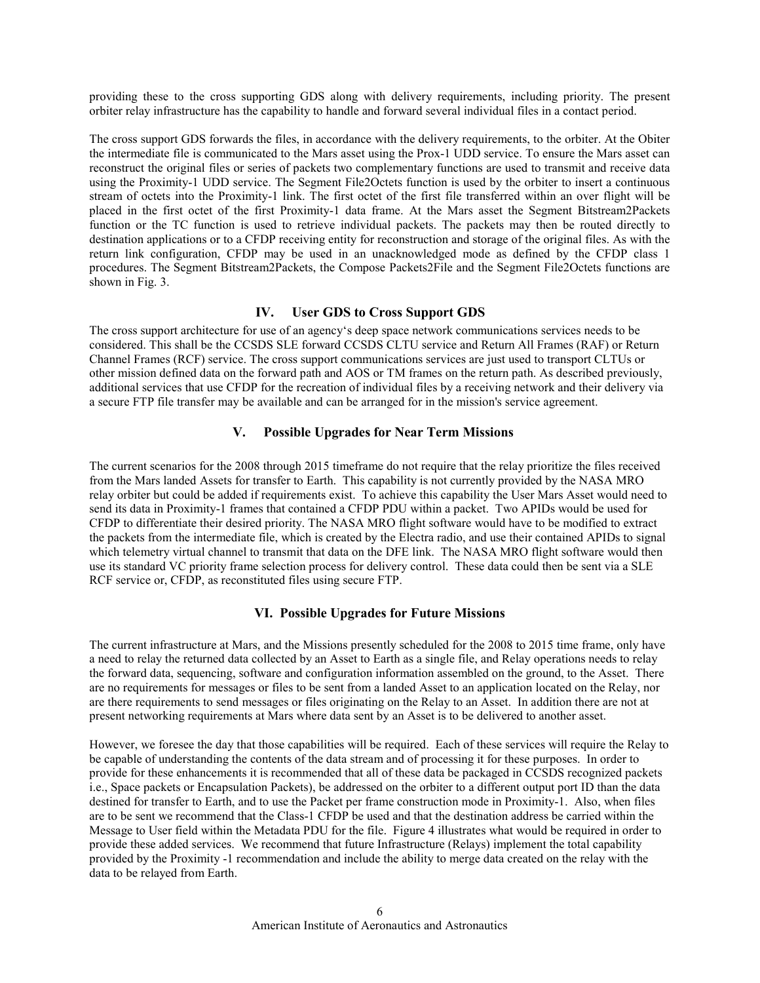providing these to the cross supporting GDS along with delivery requirements, including priority. The present orbiter relay infrastructure has the capability to handle and forward several individual files in a contact period.

The cross support GDS forwards the files, in accordance with the delivery requirements, to the orbiter. At the Obiter the intermediate file is communicated to the Mars asset using the Prox-1 UDD service. To ensure the Mars asset can reconstruct the original files or series of packets two complementary functions are used to transmit and receive data using the Proximity-1 UDD service. The Segment File2Octets function is used by the orbiter to insert a continuous stream of octets into the Proximity-1 link. The first octet of the first file transferred within an over flight will be placed in the first octet of the first Proximity-1 data frame. At the Mars asset the Segment Bitstream2Packets function or the TC function is used to retrieve individual packets. The packets may then be routed directly to destination applications or to a CFDP receiving entity for reconstruction and storage of the original files. As with the return link configuration, CFDP may be used in an unacknowledged mode as defined by the CFDP class 1 procedures. The Segment Bitstream2Packets, the Compose Packets2File and the Segment File2Octets functions are shown in Fig. 3.

# **IV. User GDS to Cross Support GDS**

The cross support architecture for use of an agency's deep space network communications services needs to be considered. This shall be the CCSDS SLE forward CCSDS CLTU service and Return All Frames (RAF) or Return Channel Frames (RCF) service. The cross support communications services are just used to transport CLTUs or other mission defined data on the forward path and AOS or TM frames on the return path. As described previously, additional services that use CFDP for the recreation of individual files by a receiving network and their delivery via a secure FTP file transfer may be available and can be arranged for in the mission's service agreement.

# **V. Possible Upgrades for Near Term Missions**

The current scenarios for the 2008 through 2015 timeframe do not require that the relay prioritize the files received from the Mars landed Assets for transfer to Earth. This capability is not currently provided by the NASA MRO relay orbiter but could be added if requirements exist. To achieve this capability the User Mars Asset would need to send its data in Proximity-1 frames that contained a CFDP PDU within a packet. Two APIDs would be used for CFDP to differentiate their desired priority. The NASA MRO flight software would have to be modified to extract the packets from the intermediate file, which is created by the Electra radio, and use their contained APIDs to signal which telemetry virtual channel to transmit that data on the DFE link. The NASA MRO flight software would then use its standard VC priority frame selection process for delivery control. These data could then be sent via a SLE RCF service or, CFDP, as reconstituted files using secure FTP.

# **VI. Possible Upgrades for Future Missions**

The current infrastructure at Mars, and the Missions presently scheduled for the 2008 to 2015 time frame, only have a need to relay the returned data collected by an Asset to Earth as a single file, and Relay operations needs to relay the forward data, sequencing, software and configuration information assembled on the ground, to the Asset. There are no requirements for messages or files to be sent from a landed Asset to an application located on the Relay, nor are there requirements to send messages or files originating on the Relay to an Asset. In addition there are not at present networking requirements at Mars where data sent by an Asset is to be delivered to another asset.

However, we foresee the day that those capabilities will be required. Each of these services will require the Relay to be capable of understanding the contents of the data stream and of processing it for these purposes. In order to provide for these enhancements it is recommended that all of these data be packaged in CCSDS recognized packets i.e., Space packets or Encapsulation Packets), be addressed on the orbiter to a different output port ID than the data destined for transfer to Earth, and to use the Packet per frame construction mode in Proximity-1. Also, when files are to be sent we recommend that the Class-1 CFDP be used and that the destination address be carried within the Message to User field within the Metadata PDU for the file. Figure 4 illustrates what would be required in order to provide these added services. We recommend that future Infrastructure (Relays) implement the total capability provided by the Proximity -1 recommendation and include the ability to merge data created on the relay with the data to be relayed from Earth.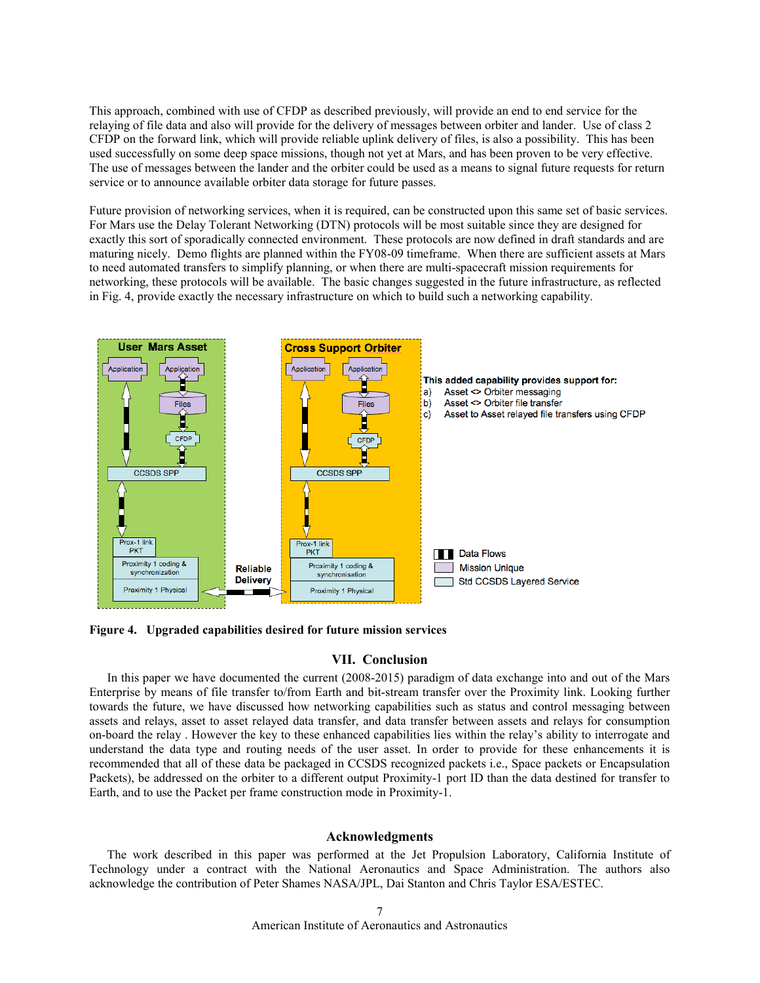This approach, combined with use of CFDP as described previously, will provide an end to end service for the relaying of file data and also will provide for the delivery of messages between orbiter and lander. Use of class 2 CFDP on the forward link, which will provide reliable uplink delivery of files, is also a possibility. This has been used successfully on some deep space missions, though not yet at Mars, and has been proven to be very effective. The use of messages between the lander and the orbiter could be used as a means to signal future requests for return service or to announce available orbiter data storage for future passes.

Future provision of networking services, when it is required, can be constructed upon this same set of basic services. For Mars use the Delay Tolerant Networking (DTN) protocols will be most suitable since they are designed for exactly this sort of sporadically connected environment. These protocols are now defined in draft standards and are maturing nicely. Demo flights are planned within the FY08-09 timeframe. When there are sufficient assets at Mars to need automated transfers to simplify planning, or when there are multi-spacecraft mission requirements for networking, these protocols will be available. The basic changes suggested in the future infrastructure, as reflected in Fig. 4, provide exactly the necessary infrastructure on which to build such a networking capability.



**Figure 4. Upgraded capabilities desired for future mission services**

#### **VII. Conclusion**

In this paper we have documented the current (2008-2015) paradigm of data exchange into and out of the Mars Enterprise by means of file transfer to/from Earth and bit-stream transfer over the Proximity link. Looking further towards the future, we have discussed how networking capabilities such as status and control messaging between assets and relays, asset to asset relayed data transfer, and data transfer between assets and relays for consumption on-board the relay . However the key to these enhanced capabilities lies within the relay's ability to interrogate and understand the data type and routing needs of the user asset. In order to provide for these enhancements it is recommended that all of these data be packaged in CCSDS recognized packets i.e., Space packets or Encapsulation Packets), be addressed on the orbiter to a different output Proximity-1 port ID than the data destined for transfer to Earth, and to use the Packet per frame construction mode in Proximity-1.

#### **Acknowledgments**

The work described in this paper was performed at the Jet Propulsion Laboratory, California Institute of Technology under a contract with the National Aeronautics and Space Administration. The authors also acknowledge the contribution of Peter Shames NASA/JPL, Dai Stanton and Chris Taylor ESA/ESTEC.